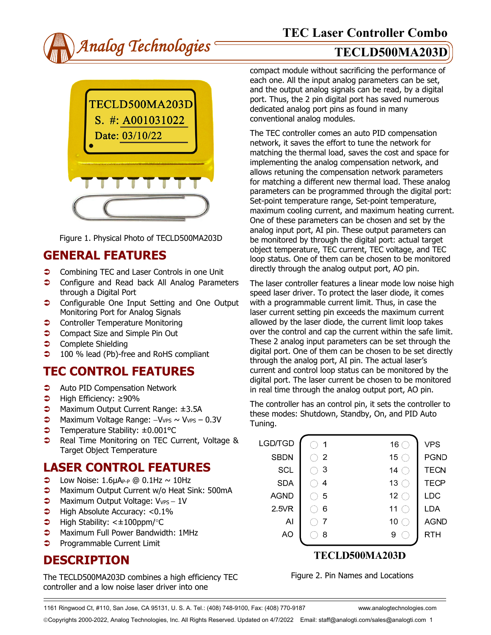



Figure 1. Physical Photo of TECLD500MA203D

## **GENERAL FEATURES**

- **Combining TEC and Laser Controls in one Unit**
- **Configure and Read back All Analog Parameters** through a Digital Port
- **Configurable One Input Setting and One Output** Monitoring Port for Analog Signals
- **Controller Temperature Monitoring**
- **Compact Size and Simple Pin Out**
- **Complete Shielding**
- **→** 100 % lead (Pb)-free and RoHS compliant

# **TEC CONTROL FEATURES**

- **C** Auto PID Compensation Network
- High Efficiency: ≥90%
- **D** Maximum Output Current Range: ±3.5A
- → Maximum Voltage Range: -VvPs ~ VvPs 0.3V
- Temperature Stability: ±0.001°C
- **C** Real Time Monitoring on TEC Current, Voltage & Target Object Temperature

# **LASER CONTROL FEATURES**

- $\bullet$  Low Noise: 1.6µAP-P @ 0.1Hz ~ 10Hz
- **C** Maximum Output Current w/o Heat Sink: 500mA
- $\bigcirc$  Maximum Output Voltage: V<sub>VPS</sub> 1V
- $\blacktriangleright$  High Absolute Accuracy: <0.1%
- High Stability: <±100ppm/°C
- **C** Maximum Full Power Bandwidth: 1MHz
- $\bullet$  Programmable Current Limit

# **DESCRIPTION**

The TECLD500MA203D combines a high efficiency TEC controller and a low noise laser driver into one

compact module without sacrificing the performance of each one. All the input analog parameters can be set, and the output analog signals can be read, by a digital port. Thus, the 2 pin digital port has saved numerous dedicated analog port pins as found in many conventional analog modules.

The TEC controller comes an auto PID compensation network, it saves the effort to tune the network for matching the thermal load, saves the cost and space for implementing the analog compensation network, and allows retuning the compensation network parameters for matching a different new thermal load. These analog parameters can be programmed through the digital port: Set-point temperature range, Set-point temperature, maximum cooling current, and maximum heating current. One of these parameters can be chosen and set by the analog input port, AI pin. These output parameters can be monitored by through the digital port: actual target object temperature, TEC current, TEC voltage, and TEC loop status. One of them can be chosen to be monitored directly through the analog output port, AO pin.

The laser controller features a linear mode low noise high speed laser driver. To protect the laser diode, it comes with a programmable current limit. Thus, in case the laser current setting pin exceeds the maximum current allowed by the laser diode, the current limit loop takes over the control and cap the current within the safe limit. These 2 analog input parameters can be set through the digital port. One of them can be chosen to be set directly through the analog port, AI pin. The actual laser's current and control loop status can be monitored by the digital port. The laser current be chosen to be monitored in real time through the analog output port, AO pin.

The controller has an control pin, it sets the controller to these modes: Shutdown, Standby, On, and PID Auto Tuning.

| LGD/TGD     | 1 | 16              | <b>VPS</b>  |
|-------------|---|-----------------|-------------|
| <b>SBDN</b> | 2 | 15              | <b>PGND</b> |
| SCL         | 3 | 14              | <b>TECN</b> |
| <b>SDA</b>  | 4 | 13              | <b>TECP</b> |
| <b>AGND</b> | 5 | 12 <sub>2</sub> | LDC         |
| 2.5VR       | 6 | 11              | LDA         |
| Al          |   | 10              | <b>AGND</b> |
| AO          | 8 | 9               | RTH         |
|             |   |                 |             |

### TECLD500MA203D

Figure 2. Pin Names and Locations

1161 Ringwood Ct, #110, San Jose, CA 95131, U. S. A. Tel.: (408) 748-9100, Fax: (408) 770-9187 www.analogtechnologies.com

Copyrights 2000-2022, Analog Technologies, Inc. All Rights Reserved. Updated on 4/7/2022 Email: staff@analogti.com/sales@analogti.com 1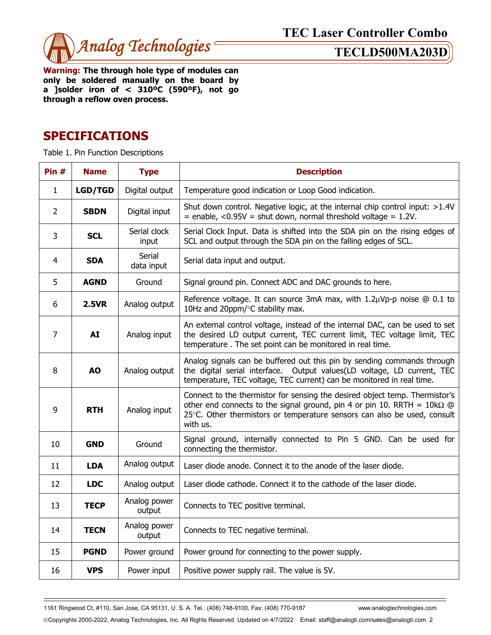

**Warning: The through hole type of modules can only be soldered manually on the board by a ]solder iron of < 310ºC (590ºF), not go through a reflow oven process.** 

### **SPECIFICATIONS**

Table 1. Pin Function Descriptions

| Pin $#$        | <b>Name</b>    | <b>Type</b>            | <b>Description</b>                                                                                                                                                                                                                                    |  |
|----------------|----------------|------------------------|-------------------------------------------------------------------------------------------------------------------------------------------------------------------------------------------------------------------------------------------------------|--|
| $\mathbf{1}$   | <b>LGD/TGD</b> | Digital output         | Temperature good indication or Loop Good indication.                                                                                                                                                                                                  |  |
| $\overline{2}$ | <b>SBDN</b>    | Digital input          | Shut down control. Negative logic, at the internal chip control input: >1.4V<br>$=$ enable, <0.95V = shut down, normal threshold voltage = 1.2V.                                                                                                      |  |
| 3              | <b>SCL</b>     | Serial clock<br>input  | Serial Clock Input. Data is shifted into the SDA pin on the rising edges of<br>SCL and output through the SDA pin on the falling edges of SCL.                                                                                                        |  |
| 4              | <b>SDA</b>     | Serial<br>data input   | Serial data input and output.                                                                                                                                                                                                                         |  |
| 5              | <b>AGND</b>    | Ground                 | Signal ground pin. Connect ADC and DAC grounds to here.                                                                                                                                                                                               |  |
| 6              | <b>2.5VR</b>   | Analog output          | Reference voltage. It can source 3mA max, with 1.2µVp-p noise @ 0.1 to<br>10Hz and 20ppm/°C stability max.                                                                                                                                            |  |
| $\overline{7}$ | <b>AI</b>      | Analog input           | An external control voltage, instead of the internal DAC, can be used to set<br>the desired LD output current, TEC current limit, TEC voltage limit, TEC<br>temperature. The set point can be monitored in real time.                                 |  |
| 8              | <b>AO</b>      | Analog output          | Analog signals can be buffered out this pin by sending commands through<br>the digital serial interface. Output values(LD voltage, LD current, TEC<br>temperature, TEC voltage, TEC current) can be monitored in real time.                           |  |
| 9              | <b>RTH</b>     | Analog input           | Connect to the thermistor for sensing the desired object temp. Thermistor's<br>other end connects to the signal ground, pin 4 or pin 10. RRTH = $10k\Omega$ @<br>25°C. Other thermistors or temperature sensors can also be used, consult<br>with us. |  |
| 10             | <b>GND</b>     | Ground                 | Signal ground, internally connected to Pin 5 GND. Can be used for<br>connecting the thermistor.                                                                                                                                                       |  |
| 11             | <b>LDA</b>     | Analog output          | Laser diode anode. Connect it to the anode of the laser diode.                                                                                                                                                                                        |  |
| 12             | <b>LDC</b>     | Analog output          | Laser diode cathode. Connect it to the cathode of the laser diode.                                                                                                                                                                                    |  |
| 13             | <b>TECP</b>    | Analog power<br>output | Connects to TEC positive terminal.                                                                                                                                                                                                                    |  |
| 14             | <b>TECN</b>    | Analog power<br>output | Connects to TEC negative terminal.                                                                                                                                                                                                                    |  |
| 15             | <b>PGND</b>    | Power ground           | Power ground for connecting to the power supply.                                                                                                                                                                                                      |  |
| 16             | <b>VPS</b>     | Power input            | Positive power supply rail. The value is 5V.                                                                                                                                                                                                          |  |

1161 Ringwood Ct, #110, San Jose, CA 95131, U. S. A. Tel.: (408) 748-9100, Fax: (408) 770-9187 www.analogtechnologies.com

Copyrights 2000-2022, Analog Technologies, Inc. All Rights Reserved. Updated on 4/7/2022 Email: staff@analogti.com/sales@analogti.com 2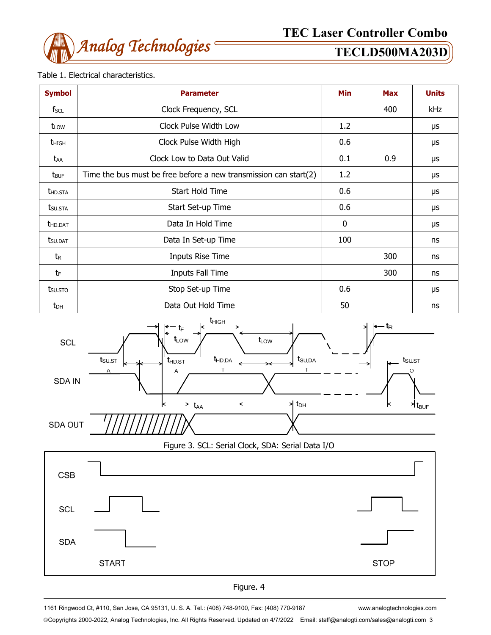

### Table 1. Electrical characteristics.

| <b>Symbol</b>           | <b>Parameter</b>                                                    | Min          | <b>Max</b> | <b>Units</b> |
|-------------------------|---------------------------------------------------------------------|--------------|------------|--------------|
| fscl                    | Clock Frequency, SCL                                                |              | 400        | kHz          |
| t <sub>LOW</sub>        | Clock Pulse Width Low                                               | 1.2          |            | μs           |
| <b>t</b> high           | Clock Pulse Width High                                              | 0.6          |            | μs           |
| taa                     | Clock Low to Data Out Valid                                         | 0.1          | 0.9        | μs           |
| <b>t</b> <sub>BUF</sub> | Time the bus must be free before a new transmission can start $(2)$ | 1.2          |            | μs           |
| <b>THD.STA</b>          | Start Hold Time                                                     | 0.6          |            | μs           |
| t <sub>su.Sta</sub>     | Start Set-up Time                                                   | 0.6          |            | μs           |
| <b>t</b> hd.dat         | Data In Hold Time                                                   | $\mathbf{0}$ |            | μs           |
| tsu.dat                 | Data In Set-up Time                                                 | 100          |            | ns           |
| tr                      | Inputs Rise Time                                                    |              | 300        | ns           |
| tF                      | Inputs Fall Time                                                    |              | 300        | ns           |
| tsu.sto                 | Stop Set-up Time                                                    | 0.6          |            | μs           |
| $t_{DH}$                | Data Out Hold Time                                                  | 50           |            | ns           |



Figure 3. SCL: Serial Clock, SDA: Serial Data I/O





1161 Ringwood Ct, #110, San Jose, CA 95131, U. S. A. Tel.: (408) 748-9100, Fax: (408) 770-9187 www.analogtechnologies.com

Copyrights 2000-2022, Analog Technologies, Inc. All Rights Reserved. Updated on 4/7/2022 Email: staff@analogti.com/sales@analogti.com 3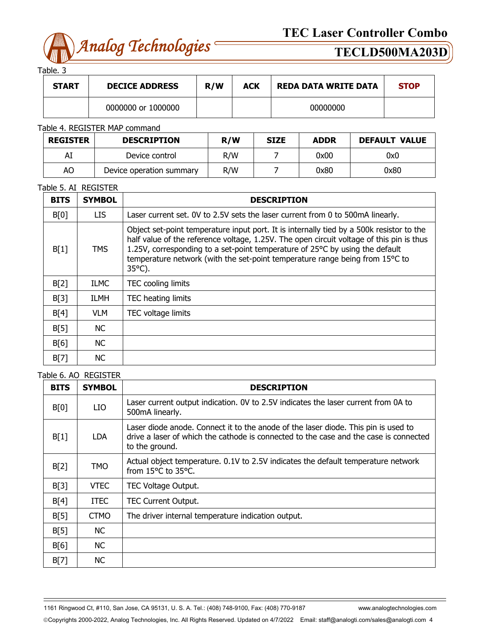

Table. 3

| <b>START</b> | <b>DECICE ADDRESS</b> | R/W | <b>ACK</b> | <b>REDA DATA WRITE DATA</b> | <b>STOP</b> |
|--------------|-----------------------|-----|------------|-----------------------------|-------------|
|              | 0000000 or 1000000    |     |            | 00000000                    |             |

### Table 4. REGISTER MAP command

| <b>REGISTER</b> | <b>DESCRIPTION</b>       | R/W | <b>SIZE</b> | <b>ADDR</b> | <b>DEFAULT VALUE</b> |
|-----------------|--------------------------|-----|-------------|-------------|----------------------|
| Al              | Device control           | R/W |             | 0x00        | 0x0                  |
| AO              | Device operation summary | R/W |             | 0x80        | 0x80                 |

### Table 5. AI REGISTER

| <b>BITS</b> | <b>SYMBOL</b> | <b>DESCRIPTION</b>                                                                                                                                                                                                                                                                                                                                                       |
|-------------|---------------|--------------------------------------------------------------------------------------------------------------------------------------------------------------------------------------------------------------------------------------------------------------------------------------------------------------------------------------------------------------------------|
| B[0]        | LIS.          | Laser current set. 0V to 2.5V sets the laser current from 0 to 500mA linearly.                                                                                                                                                                                                                                                                                           |
| B[1]        | <b>TMS</b>    | Object set-point temperature input port. It is internally tied by a 500k resistor to the<br>half value of the reference voltage, 1.25V. The open circuit voltage of this pin is thus<br>1.25V, corresponding to a set-point temperature of 25°C by using the default<br>temperature network (with the set-point temperature range being from 15°C to<br>$35^{\circ}$ C). |
| B[2]        | <b>ILMC</b>   | TEC cooling limits                                                                                                                                                                                                                                                                                                                                                       |
| B[3]        | <b>ILMH</b>   | TEC heating limits                                                                                                                                                                                                                                                                                                                                                       |
| B[4]        | VLM.          | TEC voltage limits                                                                                                                                                                                                                                                                                                                                                       |
| B[5]        | NC.           |                                                                                                                                                                                                                                                                                                                                                                          |
| B[6]        | NC.           |                                                                                                                                                                                                                                                                                                                                                                          |
| B[7]        | <b>NC</b>     |                                                                                                                                                                                                                                                                                                                                                                          |

### Table 6. AO REGISTER

| <b>BITS</b> | <b>SYMBOL</b> | <b>DESCRIPTION</b>                                                                                                                                                                            |
|-------------|---------------|-----------------------------------------------------------------------------------------------------------------------------------------------------------------------------------------------|
| B[0]        | LIO           | Laser current output indication. OV to 2.5V indicates the laser current from 0A to<br>500mA linearly.                                                                                         |
| B[1]        | LDA           | Laser diode anode. Connect it to the anode of the laser diode. This pin is used to<br>drive a laser of which the cathode is connected to the case and the case is connected<br>to the ground. |
| B[2]        | <b>TMO</b>    | Actual object temperature. 0.1V to 2.5V indicates the default temperature network<br>from 15°C to 35°C.                                                                                       |
| B[3]        | <b>VTEC</b>   | TEC Voltage Output.                                                                                                                                                                           |
| B[4]        | <b>ITEC</b>   | <b>TEC Current Output.</b>                                                                                                                                                                    |
| B[5]        | <b>CTMO</b>   | The driver internal temperature indication output.                                                                                                                                            |
| B[5]        | <b>NC</b>     |                                                                                                                                                                                               |
| B[6]        | <b>NC</b>     |                                                                                                                                                                                               |
| B[7]        | <b>NC</b>     |                                                                                                                                                                                               |

1161 Ringwood Ct, #110, San Jose, CA 95131, U. S. A. Tel.: (408) 748-9100, Fax: (408) 770-9187 www.analogtechnologies.com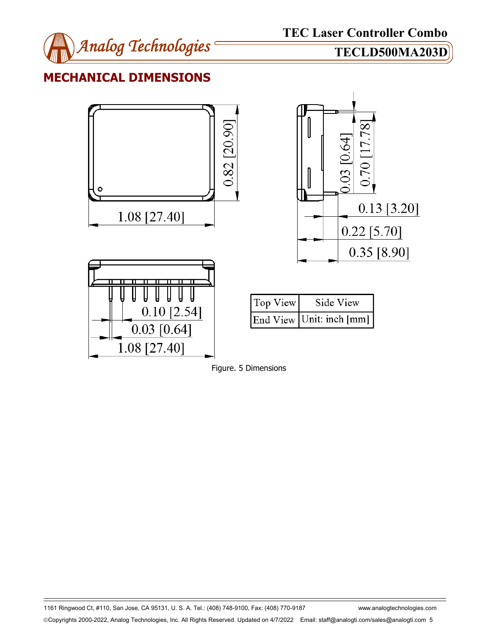

## **MECHANICAL DIMENSIONS**





1161 Ringwood Ct, #110, San Jose, CA 95131, U. S. A. Tel.: (408) 748-9100, Fax: (408) 770-9187 www.analogtechnologies.com Copyrights 2000-2022, Analog Technologies, Inc. All Rights Reserved. Updated on 4/7/2022 Email: staff@analogti.com/sales@analogti.com 5